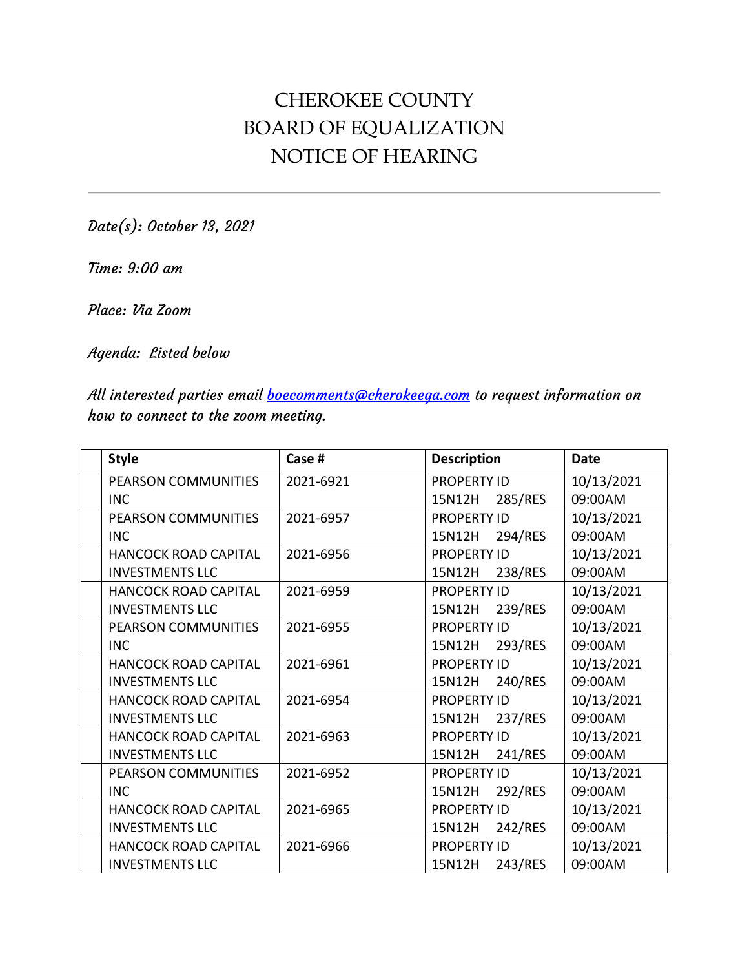## CHEROKEE COUNTY BOARD OF EQUALIZATION NOTICE OF HEARING

Date(s): October 13, 2021

Time: 9:00 am

Place: Via Zoom

Agenda: Listed below

All interested parties email **boecomments@cherokeega.com** to request information on how to connect to the zoom meeting.

| <b>Style</b>                | Case #    | <b>Description</b> | <b>Date</b> |
|-----------------------------|-----------|--------------------|-------------|
| <b>PEARSON COMMUNITIES</b>  | 2021-6921 | <b>PROPERTY ID</b> | 10/13/2021  |
| <b>INC</b>                  |           | 285/RES<br>15N12H  | 09:00AM     |
| PEARSON COMMUNITIES         | 2021-6957 | <b>PROPERTY ID</b> | 10/13/2021  |
| <b>INC</b>                  |           | 15N12H<br>294/RES  | 09:00AM     |
| <b>HANCOCK ROAD CAPITAL</b> | 2021-6956 | <b>PROPERTY ID</b> | 10/13/2021  |
| <b>INVESTMENTS LLC</b>      |           | 238/RES<br>15N12H  | 09:00AM     |
| HANCOCK ROAD CAPITAL        | 2021-6959 | <b>PROPERTY ID</b> | 10/13/2021  |
| <b>INVESTMENTS LLC</b>      |           | 239/RES<br>15N12H  | 09:00AM     |
| <b>PEARSON COMMUNITIES</b>  | 2021-6955 | <b>PROPERTY ID</b> | 10/13/2021  |
| <b>INC</b>                  |           | 15N12H<br>293/RES  | 09:00AM     |
| <b>HANCOCK ROAD CAPITAL</b> | 2021-6961 | <b>PROPERTY ID</b> | 10/13/2021  |
| <b>INVESTMENTS LLC</b>      |           | 240/RES<br>15N12H  | 09:00AM     |
| HANCOCK ROAD CAPITAL        | 2021-6954 | <b>PROPERTY ID</b> | 10/13/2021  |
| <b>INVESTMENTS LLC</b>      |           | 237/RES<br>15N12H  | 09:00AM     |
| <b>HANCOCK ROAD CAPITAL</b> | 2021-6963 | <b>PROPERTY ID</b> | 10/13/2021  |
| <b>INVESTMENTS LLC</b>      |           | 241/RES<br>15N12H  | 09:00AM     |
| PEARSON COMMUNITIES         | 2021-6952 | <b>PROPERTY ID</b> | 10/13/2021  |
| <b>INC</b>                  |           | 292/RES<br>15N12H  | 09:00AM     |
| <b>HANCOCK ROAD CAPITAL</b> | 2021-6965 | <b>PROPERTY ID</b> | 10/13/2021  |
| <b>INVESTMENTS LLC</b>      |           | 15N12H<br>242/RES  | 09:00AM     |
| <b>HANCOCK ROAD CAPITAL</b> | 2021-6966 | <b>PROPERTY ID</b> | 10/13/2021  |
| <b>INVESTMENTS LLC</b>      |           | 15N12H<br>243/RES  | 09:00AM     |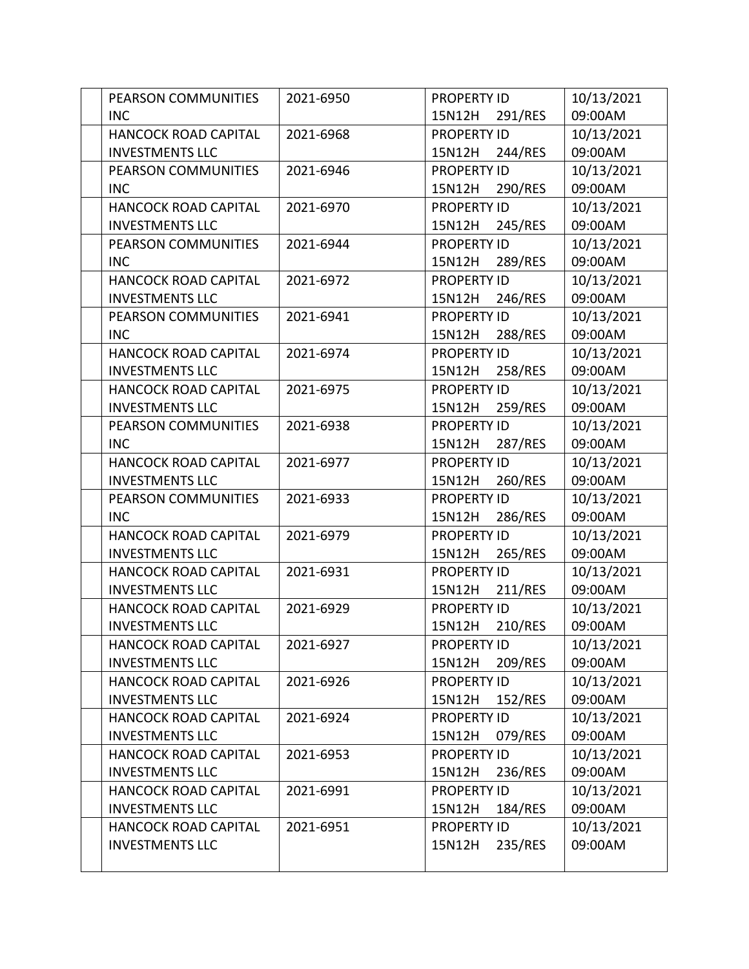| PEARSON COMMUNITIES         | 2021-6950 | <b>PROPERTY ID</b> | 10/13/2021 |
|-----------------------------|-----------|--------------------|------------|
| <b>INC</b>                  |           | 291/RES<br>15N12H  | 09:00AM    |
| <b>HANCOCK ROAD CAPITAL</b> | 2021-6968 | <b>PROPERTY ID</b> | 10/13/2021 |
| <b>INVESTMENTS LLC</b>      |           | 244/RES<br>15N12H  | 09:00AM    |
| PEARSON COMMUNITIES         | 2021-6946 | <b>PROPERTY ID</b> | 10/13/2021 |
| <b>INC</b>                  |           | 290/RES<br>15N12H  | 09:00AM    |
| <b>HANCOCK ROAD CAPITAL</b> | 2021-6970 | <b>PROPERTY ID</b> | 10/13/2021 |
| <b>INVESTMENTS LLC</b>      |           | 245/RES<br>15N12H  | 09:00AM    |
| PEARSON COMMUNITIES         | 2021-6944 | <b>PROPERTY ID</b> | 10/13/2021 |
| <b>INC</b>                  |           | 289/RES<br>15N12H  | 09:00AM    |
| <b>HANCOCK ROAD CAPITAL</b> | 2021-6972 | <b>PROPERTY ID</b> | 10/13/2021 |
| <b>INVESTMENTS LLC</b>      |           | 246/RES<br>15N12H  | 09:00AM    |
| PEARSON COMMUNITIES         | 2021-6941 | <b>PROPERTY ID</b> | 10/13/2021 |
| <b>INC</b>                  |           | 288/RES<br>15N12H  | 09:00AM    |
| <b>HANCOCK ROAD CAPITAL</b> | 2021-6974 | <b>PROPERTY ID</b> | 10/13/2021 |
| <b>INVESTMENTS LLC</b>      |           | 258/RES<br>15N12H  | 09:00AM    |
| <b>HANCOCK ROAD CAPITAL</b> | 2021-6975 | <b>PROPERTY ID</b> | 10/13/2021 |
| <b>INVESTMENTS LLC</b>      |           | 259/RES<br>15N12H  | 09:00AM    |
| PEARSON COMMUNITIES         | 2021-6938 | <b>PROPERTY ID</b> | 10/13/2021 |
| <b>INC</b>                  |           | 15N12H<br>287/RES  | 09:00AM    |
| <b>HANCOCK ROAD CAPITAL</b> | 2021-6977 | <b>PROPERTY ID</b> | 10/13/2021 |
| <b>INVESTMENTS LLC</b>      |           | 260/RES<br>15N12H  | 09:00AM    |
| PEARSON COMMUNITIES         | 2021-6933 | <b>PROPERTY ID</b> | 10/13/2021 |
| <b>INC</b>                  |           | 15N12H<br>286/RES  | 09:00AM    |
| <b>HANCOCK ROAD CAPITAL</b> | 2021-6979 | <b>PROPERTY ID</b> | 10/13/2021 |
| <b>INVESTMENTS LLC</b>      |           | 15N12H<br>265/RES  | 09:00AM    |
| HANCOCK ROAD CAPITAL        | 2021-6931 | <b>PROPERTY ID</b> | 10/13/2021 |
| <b>INVESTMENTS LLC</b>      |           | 15N12H<br>211/RES  | 09:00AM    |
| HANCOCK ROAD CAPITAL        | 2021-6929 | <b>PROPERTY ID</b> | 10/13/2021 |
| <b>INVESTMENTS LLC</b>      |           | 210/RES<br>15N12H  | 09:00AM    |
| <b>HANCOCK ROAD CAPITAL</b> | 2021-6927 | <b>PROPERTY ID</b> | 10/13/2021 |
| <b>INVESTMENTS LLC</b>      |           | 15N12H<br>209/RES  | 09:00AM    |
| <b>HANCOCK ROAD CAPITAL</b> | 2021-6926 | <b>PROPERTY ID</b> | 10/13/2021 |
| <b>INVESTMENTS LLC</b>      |           | 15N12H<br>152/RES  | 09:00AM    |
| <b>HANCOCK ROAD CAPITAL</b> | 2021-6924 | <b>PROPERTY ID</b> | 10/13/2021 |
| <b>INVESTMENTS LLC</b>      |           | 079/RES<br>15N12H  | 09:00AM    |
| HANCOCK ROAD CAPITAL        | 2021-6953 | PROPERTY ID        | 10/13/2021 |
| <b>INVESTMENTS LLC</b>      |           | 236/RES<br>15N12H  | 09:00AM    |
| HANCOCK ROAD CAPITAL        | 2021-6991 | <b>PROPERTY ID</b> | 10/13/2021 |
| <b>INVESTMENTS LLC</b>      |           | 15N12H<br>184/RES  | 09:00AM    |
| <b>HANCOCK ROAD CAPITAL</b> | 2021-6951 | <b>PROPERTY ID</b> | 10/13/2021 |
| <b>INVESTMENTS LLC</b>      |           | 235/RES<br>15N12H  | 09:00AM    |
|                             |           |                    |            |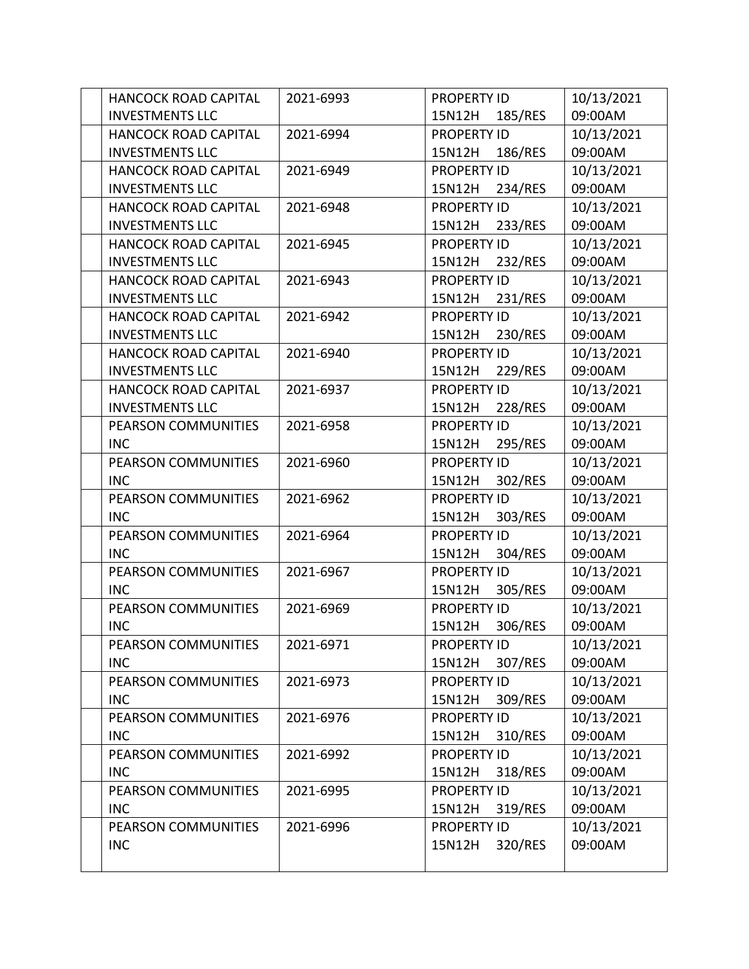| <b>HANCOCK ROAD CAPITAL</b> | 2021-6993 | <b>PROPERTY ID</b> | 10/13/2021 |
|-----------------------------|-----------|--------------------|------------|
| <b>INVESTMENTS LLC</b>      |           | 15N12H<br>185/RES  | 09:00AM    |
| <b>HANCOCK ROAD CAPITAL</b> | 2021-6994 | <b>PROPERTY ID</b> | 10/13/2021 |
| <b>INVESTMENTS LLC</b>      |           | 15N12H<br>186/RES  | 09:00AM    |
| <b>HANCOCK ROAD CAPITAL</b> | 2021-6949 | <b>PROPERTY ID</b> | 10/13/2021 |
| <b>INVESTMENTS LLC</b>      |           | 234/RES<br>15N12H  | 09:00AM    |
| <b>HANCOCK ROAD CAPITAL</b> | 2021-6948 | <b>PROPERTY ID</b> | 10/13/2021 |
| <b>INVESTMENTS LLC</b>      |           | 15N12H<br>233/RES  | 09:00AM    |
| <b>HANCOCK ROAD CAPITAL</b> | 2021-6945 | <b>PROPERTY ID</b> | 10/13/2021 |
| <b>INVESTMENTS LLC</b>      |           | 232/RES<br>15N12H  | 09:00AM    |
| <b>HANCOCK ROAD CAPITAL</b> | 2021-6943 | <b>PROPERTY ID</b> | 10/13/2021 |
| <b>INVESTMENTS LLC</b>      |           | 231/RES<br>15N12H  | 09:00AM    |
| HANCOCK ROAD CAPITAL        | 2021-6942 | <b>PROPERTY ID</b> | 10/13/2021 |
| <b>INVESTMENTS LLC</b>      |           | 230/RES<br>15N12H  | 09:00AM    |
| <b>HANCOCK ROAD CAPITAL</b> | 2021-6940 | <b>PROPERTY ID</b> | 10/13/2021 |
| <b>INVESTMENTS LLC</b>      |           | 229/RES<br>15N12H  | 09:00AM    |
| <b>HANCOCK ROAD CAPITAL</b> | 2021-6937 | <b>PROPERTY ID</b> | 10/13/2021 |
| <b>INVESTMENTS LLC</b>      |           | 228/RES<br>15N12H  | 09:00AM    |
| PEARSON COMMUNITIES         | 2021-6958 | <b>PROPERTY ID</b> | 10/13/2021 |
| <b>INC</b>                  |           | 295/RES<br>15N12H  | 09:00AM    |
| PEARSON COMMUNITIES         | 2021-6960 | <b>PROPERTY ID</b> | 10/13/2021 |
| <b>INC</b>                  |           | 15N12H<br>302/RES  | 09:00AM    |
| PEARSON COMMUNITIES         | 2021-6962 | <b>PROPERTY ID</b> | 10/13/2021 |
| <b>INC</b>                  |           | 303/RES<br>15N12H  | 09:00AM    |
| PEARSON COMMUNITIES         | 2021-6964 | <b>PROPERTY ID</b> | 10/13/2021 |
| <b>INC</b>                  |           | 15N12H<br>304/RES  | 09:00AM    |
| PEARSON COMMUNITIES         | 2021-6967 | <b>PROPERTY ID</b> | 10/13/2021 |
| <b>INC</b>                  |           | 15N12H<br>305/RES  | 09:00AM    |
| PEARSON COMMUNITIES         | 2021-6969 | <b>PROPERTY ID</b> | 10/13/2021 |
| <b>INC</b>                  |           | 306/RES<br>15N12H  | 09:00AM    |
| PEARSON COMMUNITIES         | 2021-6971 | <b>PROPERTY ID</b> | 10/13/2021 |
| <b>INC</b>                  |           | 15N12H<br>307/RES  | 09:00AM    |
| PEARSON COMMUNITIES         | 2021-6973 | <b>PROPERTY ID</b> | 10/13/2021 |
| <b>INC</b>                  |           | 15N12H<br>309/RES  | 09:00AM    |
| PEARSON COMMUNITIES         | 2021-6976 | <b>PROPERTY ID</b> | 10/13/2021 |
| <b>INC</b>                  |           | 310/RES<br>15N12H  | 09:00AM    |
| PEARSON COMMUNITIES         | 2021-6992 | <b>PROPERTY ID</b> | 10/13/2021 |
| <b>INC</b>                  |           | 318/RES<br>15N12H  | 09:00AM    |
| PEARSON COMMUNITIES         | 2021-6995 | <b>PROPERTY ID</b> | 10/13/2021 |
| <b>INC</b>                  |           | 15N12H<br>319/RES  | 09:00AM    |
| PEARSON COMMUNITIES         | 2021-6996 | <b>PROPERTY ID</b> | 10/13/2021 |
| <b>INC</b>                  |           | 320/RES<br>15N12H  | 09:00AM    |
|                             |           |                    |            |